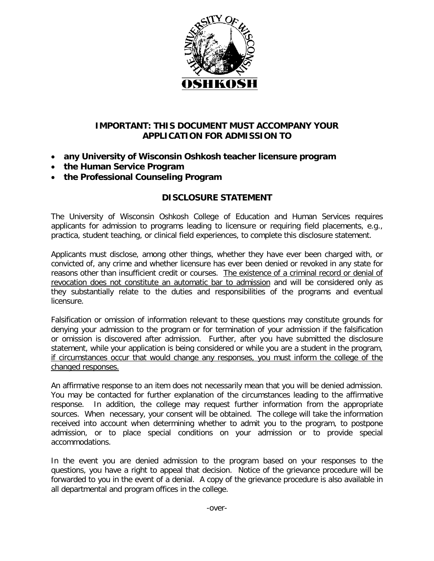

## **IMPORTANT: THIS DOCUMENT MUST ACCOMPANY YOUR APPLICATION FOR ADMISSION TO**

- **any University of Wisconsin Oshkosh teacher licensure program**
- **the Human Service Program**
- **the Professional Counseling Program**

## **DISCLOSURE STATEMENT**

The University of Wisconsin Oshkosh College of Education and Human Services requires applicants for admission to programs leading to licensure or requiring field placements, e.g., practica, student teaching, or clinical field experiences, to complete this disclosure statement.

Applicants must disclose, among other things, whether they have ever been charged with, or convicted of, any crime and whether licensure has ever been denied or revoked in any state for reasons other than insufficient credit or courses. The existence of a criminal record or denial of revocation does not constitute an automatic bar to admission and will be considered only as they substantially relate to the duties and responsibilities of the programs and eventual licensure.

Falsification or omission of information relevant to these questions may constitute grounds for denying your admission to the program or for termination of your admission if the falsification or omission is discovered after admission. Further, after you have submitted the disclosure statement, while your application is being considered or while you are a student in the program, if circumstances occur that would change any responses, you must inform the college of the changed responses.

An affirmative response to an item does not necessarily mean that you will be denied admission. You may be contacted for further explanation of the circumstances leading to the affirmative response. In addition, the college may request further information from the appropriate sources. When necessary, your consent will be obtained. The college will take the information received into account when determining whether to admit you to the program, to postpone admission, or to place special conditions on your admission or to provide special accommodations.

In the event you are denied admission to the program based on your responses to the questions, you have a right to appeal that decision. Notice of the grievance procedure will be forwarded to you in the event of a denial. A copy of the grievance procedure is also available in all departmental and program offices in the college.